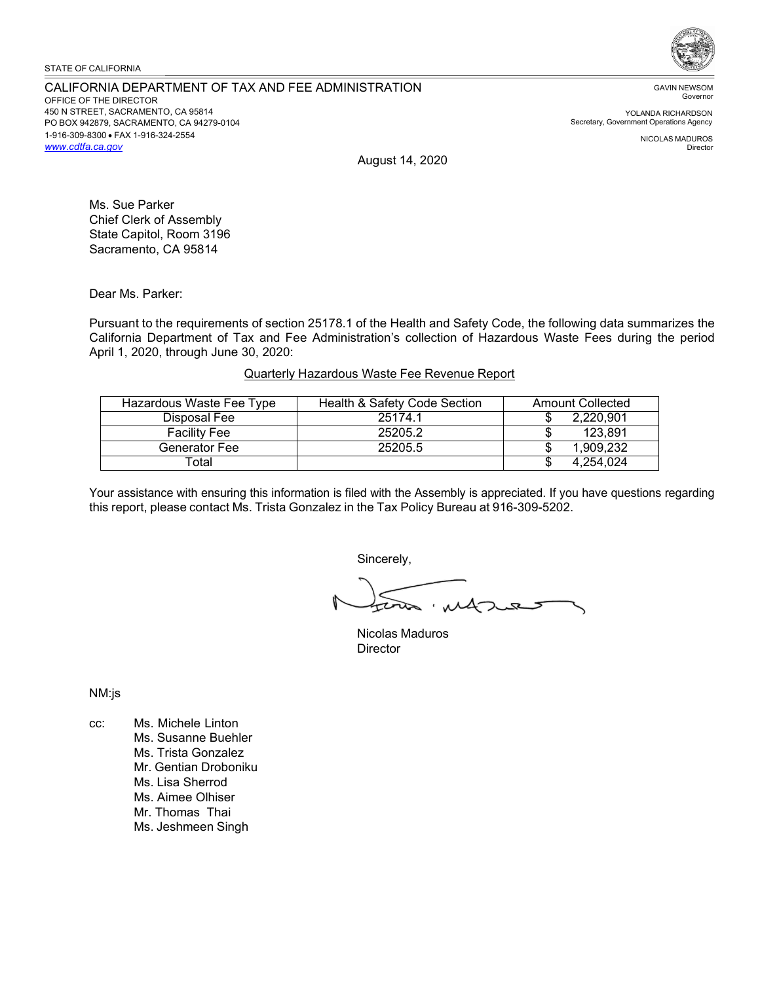### STATE OF CALIFORNIA

#### CALIFORNIA DEPARTMENT OF TAX AND FEE ADMINISTRATION OFFICE OF THE DIRECTOR 450 N STREET, SACRAMENTO, CA 95814 PO BOX 942879, SACRAMENTO, CA 94279-0104 1-916-309-8300 • FAX 1-916-324-2554 *[www.cdtfa.ca.gov](http://www.cdtfa.ca.gov/)*



GAVIN NEWSOM Governor

YOLANDA RICHARDSON Secretary, Government Operations Agency

> NICOLAS MADUROS Director

August 14, 2020

Ms. Sue Parker Chief Clerk of Assembly State Capitol, Room 3196 Sacramento, CA 95814

Dear Ms. Parker:

Pursuant to the requirements of section 25178.1 of the Health and Safety Code, the following data summarizes the California Department of Tax and Fee Administration's collection of Hazardous Waste Fees during the period April 1, 2020, through June 30, 2020:

# Quarterly Hazardous Waste Fee Revenue Report

| Hazardous Waste Fee Type | Health & Safety Code Section | <b>Amount Collected</b> |
|--------------------------|------------------------------|-------------------------|
| Disposal Fee             | 25174.1                      | 2,220,901               |
| <b>Facility Fee</b>      | 25205.2                      | 123.891                 |
| Generator Fee            | 25205.5                      | 1.909.232               |
| ™otal                    |                              | 4.254.024               |

Your assistance with ensuring this information is filed with the Assembly is appreciated. If you have questions regarding this report, please contact Ms. Trista Gonzalez in the Tax Policy Bureau at 916-309-5202.

Sincerely,

 $\overline{\mathbf{z}}$ 

Nicolas Maduros **Director** 

NM:js

cc: Ms. Michele Linton Ms. Susanne Buehler Ms. Trista Gonzalez Mr. Gentian Droboniku Ms. Lisa Sherrod Ms. Aimee Olhiser Mr. Thomas Thai Ms. Jeshmeen Singh